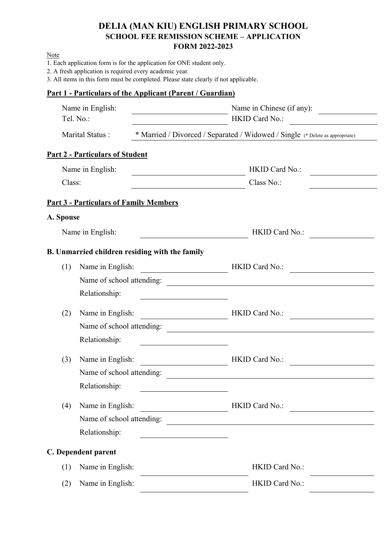## **DELIA (MAN KIU) ENGLISH PRIMARY SCHOOL SCHOOL FEE REMISSION SCHEME – APPLICATION FORM 2022-2023**

Note

- 1. Each application form is for the application for ONE student only.
- 2. A fresh application is required every academic year.

3. All items in this form must be completed. Please state clearly if not applicable.

## **Part 1 - Particulars of the Applicant (Parent / Guardian)**

|           | Name in English:<br>Tel. No.:                  | Name in Chinese (if any):<br>HKID Card No.:                                                                                                                                                                                                                                                                                                                                                                                                        |  |  |  |
|-----------|------------------------------------------------|----------------------------------------------------------------------------------------------------------------------------------------------------------------------------------------------------------------------------------------------------------------------------------------------------------------------------------------------------------------------------------------------------------------------------------------------------|--|--|--|
|           | Marital Status:                                | * Married / Divorced / Separated / Widowed / Single (* Delete as appropriate)                                                                                                                                                                                                                                                                                                                                                                      |  |  |  |
|           | <b>Part 2 - Particulars of Student</b>         |                                                                                                                                                                                                                                                                                                                                                                                                                                                    |  |  |  |
|           | Name in English:                               | HKID Card No.:                                                                                                                                                                                                                                                                                                                                                                                                                                     |  |  |  |
| Class:    |                                                | Class No.:                                                                                                                                                                                                                                                                                                                                                                                                                                         |  |  |  |
|           | <b>Part 3 - Particulars of Family Members</b>  |                                                                                                                                                                                                                                                                                                                                                                                                                                                    |  |  |  |
| A. Spouse |                                                |                                                                                                                                                                                                                                                                                                                                                                                                                                                    |  |  |  |
|           | Name in English:                               | HKID Card No.:                                                                                                                                                                                                                                                                                                                                                                                                                                     |  |  |  |
|           | B. Unmarried children residing with the family |                                                                                                                                                                                                                                                                                                                                                                                                                                                    |  |  |  |
| (1)       | Name in English:                               | HKID Card No.:                                                                                                                                                                                                                                                                                                                                                                                                                                     |  |  |  |
|           | Name of school attending:                      | <u> 1989 - John Stein, Amerikaansk politiker (</u>                                                                                                                                                                                                                                                                                                                                                                                                 |  |  |  |
|           | Relationship:                                  |                                                                                                                                                                                                                                                                                                                                                                                                                                                    |  |  |  |
| (2)       | Name in English:                               | HKID Card No.:                                                                                                                                                                                                                                                                                                                                                                                                                                     |  |  |  |
|           | Name of school attending:                      |                                                                                                                                                                                                                                                                                                                                                                                                                                                    |  |  |  |
|           | Relationship:                                  |                                                                                                                                                                                                                                                                                                                                                                                                                                                    |  |  |  |
| (3)       | Name in English:                               | HKID Card No.:                                                                                                                                                                                                                                                                                                                                                                                                                                     |  |  |  |
|           | Name of school attending:                      |                                                                                                                                                                                                                                                                                                                                                                                                                                                    |  |  |  |
|           | Relationship:                                  |                                                                                                                                                                                                                                                                                                                                                                                                                                                    |  |  |  |
| (4)       | Name in English:                               | HKID Card No.:<br>$\overline{\phantom{a}}$ . The contract of $\overline{\phantom{a}}$ , $\overline{\phantom{a}}$ , $\overline{\phantom{a}}$ , $\overline{\phantom{a}}$ , $\overline{\phantom{a}}$ , $\overline{\phantom{a}}$ , $\overline{\phantom{a}}$ , $\overline{\phantom{a}}$ , $\overline{\phantom{a}}$ , $\overline{\phantom{a}}$ , $\overline{\phantom{a}}$ , $\overline{\phantom{a}}$ , $\overline{\phantom{a}}$ , $\overline{\phantom{a$ |  |  |  |
|           | Name of school attending:                      | <u> 1980 - Jan Stein Stein Stein Stein Stein Stein Stein Stein Stein Stein Stein Stein Stein Stein Stein Stein S</u>                                                                                                                                                                                                                                                                                                                               |  |  |  |
|           | Relationship:                                  |                                                                                                                                                                                                                                                                                                                                                                                                                                                    |  |  |  |
|           | C. Dependent parent                            |                                                                                                                                                                                                                                                                                                                                                                                                                                                    |  |  |  |
| (1)       | Name in English:                               | HKID Card No.:                                                                                                                                                                                                                                                                                                                                                                                                                                     |  |  |  |
| (2)       | Name in English:                               | HKID Card No.:                                                                                                                                                                                                                                                                                                                                                                                                                                     |  |  |  |